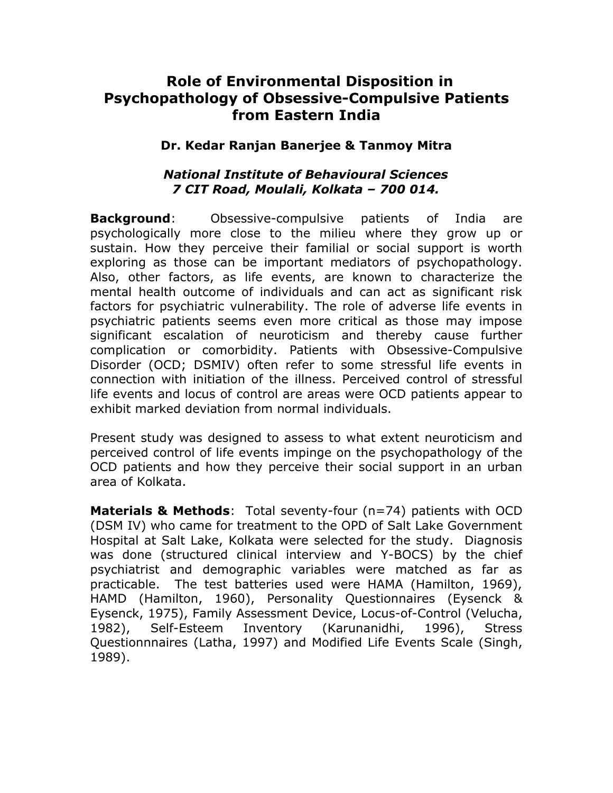## **Role of Environmental Disposition in Psychopathology of Obsessive-Compulsive Patients from Eastern India**

## **Dr. Kedar Ranjan Banerjee & Tanmoy Mitra**

## *National Institute of Behavioural Sciences 7 CIT Road, Moulali, Kolkata – 700 014.*

**Background**: Obsessive-compulsive patients of India are psychologically more close to the milieu where they grow up or sustain. How they perceive their familial or social support is worth exploring as those can be important mediators of psychopathology. Also, other factors, as life events, are known to characterize the mental health outcome of individuals and can act as significant risk factors for psychiatric vulnerability. The role of adverse life events in psychiatric patients seems even more critical as those may impose significant escalation of neuroticism and thereby cause further complication or comorbidity. Patients with Obsessive-Compulsive Disorder (OCD; DSMIV) often refer to some stressful life events in connection with initiation of the illness. Perceived control of stressful life events and locus of control are areas were OCD patients appear to exhibit marked deviation from normal individuals.

Present study was designed to assess to what extent neuroticism and perceived control of life events impinge on the psychopathology of the OCD patients and how they perceive their social support in an urban area of Kolkata.

**Materials & Methods**: Total seventy-four (n=74) patients with OCD (DSM IV) who came for treatment to the OPD of Salt Lake Government Hospital at Salt Lake, Kolkata were selected for the study. Diagnosis was done (structured clinical interview and Y-BOCS) by the chief psychiatrist and demographic variables were matched as far as practicable. The test batteries used were HAMA (Hamilton, 1969), HAMD (Hamilton, 1960), Personality Questionnaires (Eysenck & Eysenck, 1975), Family Assessment Device, Locus-of-Control (Velucha, 1982), Self-Esteem Inventory (Karunanidhi, 1996), Stress Questionnnaires (Latha, 1997) and Modified Life Events Scale (Singh, 1989).